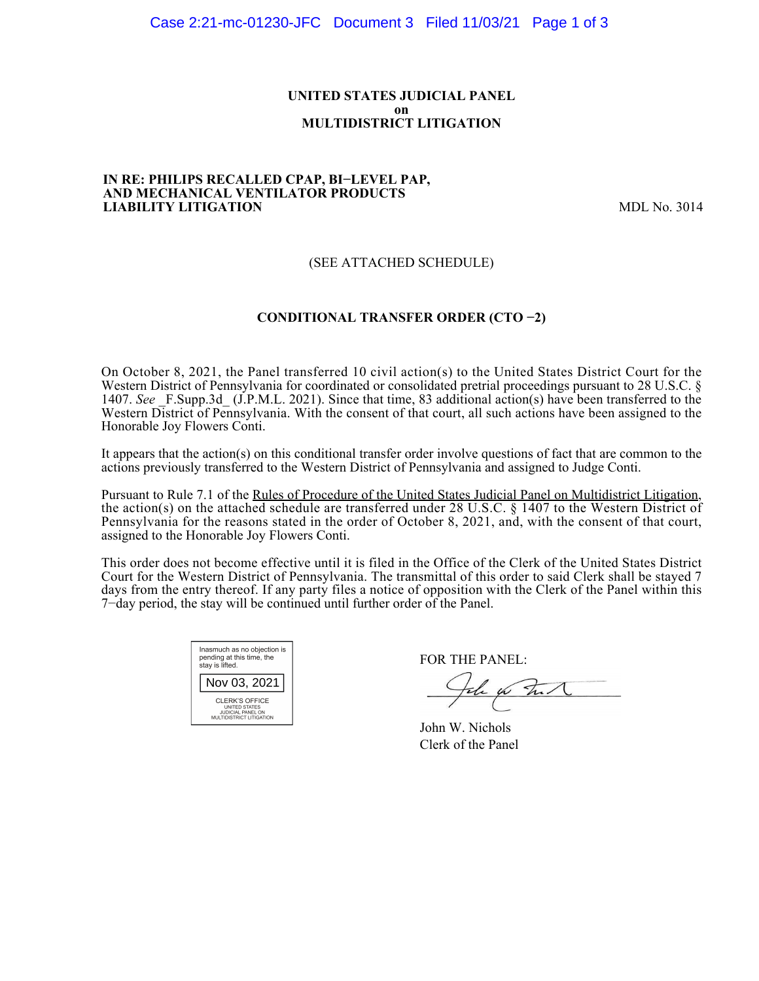#### **UNITED STATES JUDICIAL PANEL on MULTIDISTRICT LITIGATION**

#### **IN RE: PHILIPS RECALLED CPAP, BI−LEVEL PAP, AND MECHANICAL VENTILATOR PRODUCTS LIABILITY LITIGATION** MDL No. 3014

# (SEE ATTACHED SCHEDULE)

# **CONDITIONAL TRANSFER ORDER (CTO −2)**

On October 8, 2021, the Panel transferred 10 civil action(s) to the United States District Court for the Western District of Pennsylvania for coordinated or consolidated pretrial proceedings pursuant to 28 U.S.C. § 1407. *See* \_F.Supp.3d\_ (J.P.M.L. 2021). Since that time, 83 additional action(s) have been transferred to the Western District of Pennsylvania. With the consent of that court, all such actions have been assigned to the Honorable Joy Flowers Conti.

It appears that the action(s) on this conditional transfer order involve questions of fact that are common to the actions previously transferred to the Western District of Pennsylvania and assigned to Judge Conti.

Pursuant to Rule 7.1 of the Rules of Procedure of the United States Judicial Panel on Multidistrict Litigation, the action(s) on the attached schedule are transferred under 28 U.S.C. § 1407 to the Western District of Pennsylvania for the reasons stated in the order of October 8, 2021, and, with the consent of that court, assigned to the Honorable Joy Flowers Conti.

This order does not become effective until it is filed in the Office of the Clerk of the United States District Court for the Western District of Pennsylvania. The transmittal of this order to said Clerk shall be stayed 7 days from the entry thereof. If any party files a notice of opposition with the Clerk of the Panel within this 7−day period, the stay will be continued until further order of the Panel.

| Inasmuch as no objection is<br>pending at this time, the<br>stay is lifted.             |  |  |  |  |
|-----------------------------------------------------------------------------------------|--|--|--|--|
| Nov 03, 2021                                                                            |  |  |  |  |
| CLERK'S OFFICE<br><b>UNITED STATES</b><br>JUDICIAL PANEL ON<br>MULTIDISTRICT LITIGATION |  |  |  |  |

FOR THE PANEL:

John for The N

John W. Nichols Clerk of the Panel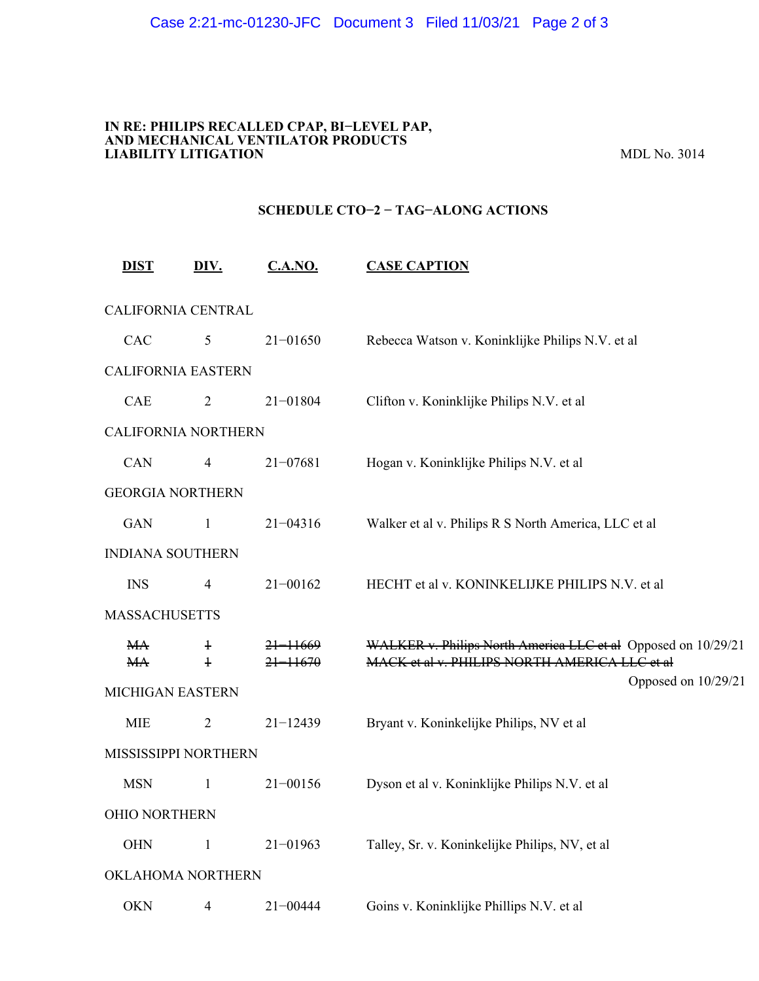#### **IN RE: PHILIPS RECALLED CPAP, BI−LEVEL PAP, AND MECHANICAL VENTILATOR PRODUCTS LIABILITY LITIGATION** MDL No. 3014

# **SCHEDULE CTO−2 − TAG−ALONG ACTIONS**

| <b>DIST</b>               | DIV.           | C.A.NO.      | <b>CASE CAPTION</b>                                                  |  |
|---------------------------|----------------|--------------|----------------------------------------------------------------------|--|
| CALIFORNIA CENTRAL        |                |              |                                                                      |  |
| CAC                       | 5              | $21 - 01650$ | Rebecca Watson v. Koninklijke Philips N.V. et al                     |  |
| <b>CALIFORNIA EASTERN</b> |                |              |                                                                      |  |
| CAE                       | $\overline{2}$ | $21 - 01804$ | Clifton v. Koninklijke Philips N.V. et al                            |  |
| CALIFORNIA NORTHERN       |                |              |                                                                      |  |
| CAN                       | 4              | $21 - 07681$ | Hogan v. Koninklijke Philips N.V. et al                              |  |
| <b>GEORGIA NORTHERN</b>   |                |              |                                                                      |  |
| <b>GAN</b>                | $\mathbf{1}$   | $21 - 04316$ | Walker et al v. Philips R S North America, LLC et al                 |  |
| <b>INDIANA SOUTHERN</b>   |                |              |                                                                      |  |
| <b>INS</b>                | $\overline{4}$ | $21 - 00162$ | HECHT et al v. KONINKELIJKE PHILIPS N.V. et al                       |  |
| <b>MASSACHUSETTS</b>      |                |              |                                                                      |  |
| МA                        | $\ddagger$     | 21-11669     | WALKER v. Philips North America LLC et al Opposed on 10/29/21        |  |
| MA                        | $\ddagger$     | $21 - 11670$ | MACK et al v. PHILIPS NORTH AMERICA LLC et al<br>Opposed on 10/29/21 |  |
| MICHIGAN EASTERN          |                |              |                                                                      |  |
| <b>MIE</b>                | $\overline{2}$ | $21 - 12439$ | Bryant v. Koninkelijke Philips, NV et al                             |  |
| MISSISSIPPI NORTHERN      |                |              |                                                                      |  |
| <b>MSN</b>                | $\mathbf{1}$   | $21 - 00156$ | Dyson et al v. Koninklijke Philips N.V. et al                        |  |
| <b>OHIO NORTHERN</b>      |                |              |                                                                      |  |
| <b>OHN</b>                | $\mathbf{1}$   | $21 - 01963$ | Talley, Sr. v. Koninkelijke Philips, NV, et al                       |  |
| OKLAHOMA NORTHERN         |                |              |                                                                      |  |
| <b>OKN</b>                | $\overline{4}$ | $21 - 00444$ | Goins v. Koninklijke Phillips N.V. et al                             |  |